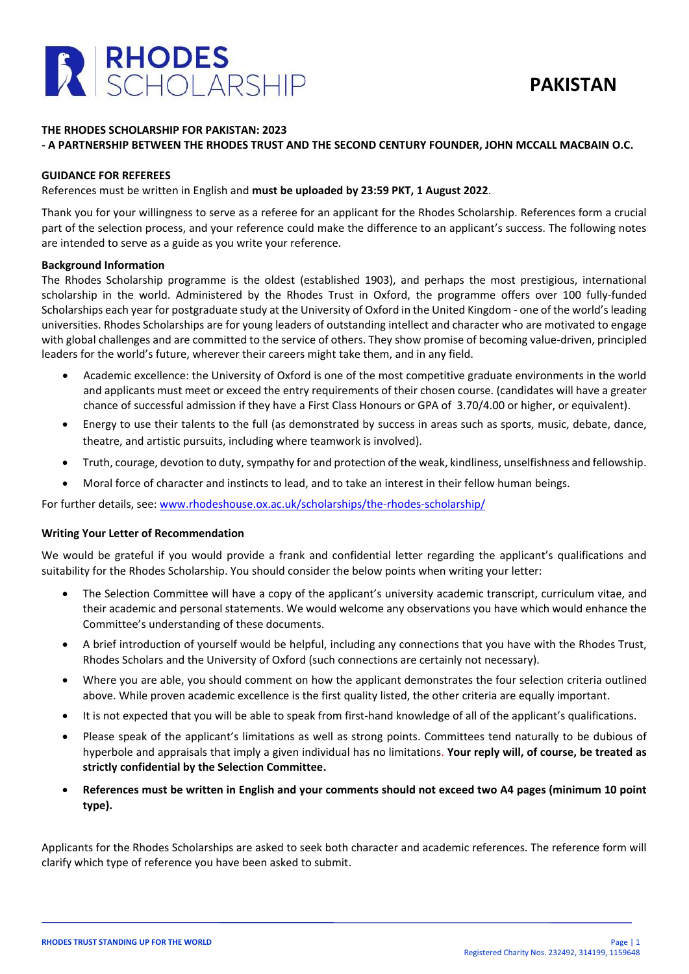

# **THE RHODES SCHOLARSHIP FOR PAKISTAN: 2023**

# **- A PARTNERSHIP BETWEEN THE RHODES TRUST AND THE SECOND CENTURY FOUNDER, JOHN MCCALL MACBAIN O.C.**

#### **GUIDANCE FOR REFEREES**

References must be written in English and **must be uploaded by 23:59 PKT, 1 August 2022**.

Thank you for your willingness to serve as a referee for an applicant for the Rhodes Scholarship. References form a crucial part of the selection process, and your reference could make the difference to an applicant's success. The following notes are intended to serve as a guide as you write your reference.

### **Background Information**

The Rhodes Scholarship programme is the oldest (established 1903), and perhaps the most prestigious, international scholarship in the world. Administered by the Rhodes Trust in Oxford, the programme offers over 100 fully-funded Scholarships each year for postgraduate study at the University of Oxford in the United Kingdom - one of the world's leading universities. Rhodes Scholarships are for young leaders of outstanding intellect and character who are motivated to engage with global challenges and are committed to the service of others. They show promise of becoming value-driven, principled leaders for the world's future, wherever their careers might take them, and in any field.

- Academic excellence: the University of Oxford is one of the most competitive graduate environments in the world and applicants must meet or exceed the entry requirements of their chosen course. (candidates will have a greater chance of successful admission if they have a First Class Honours or GPA of 3.70/4.00 or higher, or equivalent).
- Energy to use their talents to the full (as demonstrated by success in areas such as sports, music, debate, dance, theatre, and artistic pursuits, including where teamwork is involved).
- Truth, courage, devotion to duty, sympathy for and protection of the weak, kindliness, unselfishness and fellowship.
- Moral force of character and instincts to lead, and to take an interest in their fellow human beings.

For further details, see: [www.rhodeshouse.ox.ac.uk/scholarships/the-rhodes-scholarship/](http://www.rhodeshouse.ox.ac.uk/scholarships/the-rhodes-scholarship/)

# **Writing Your Letter of Recommendation**

We would be grateful if you would provide a frank and confidential letter regarding the applicant's qualifications and suitability for the Rhodes Scholarship. You should consider the below points when writing your letter:

- The Selection Committee will have a copy of the applicant's university academic transcript, curriculum vitae, and their academic and personal statements. We would welcome any observations you have which would enhance the Committee's understanding of these documents.
- A brief introduction of yourself would be helpful, including any connections that you have with the Rhodes Trust, Rhodes Scholars and the University of Oxford (such connections are certainly not necessary).
- Where you are able, you should comment on how the applicant demonstrates the four selection criteria outlined above. While proven academic excellence is the first quality listed, the other criteria are equally important.
- It is not expected that you will be able to speak from first-hand knowledge of all of the applicant's qualifications.
- Please speak of the applicant's limitations as well as strong points. Committees tend naturally to be dubious of hyperbole and appraisals that imply a given individual has no limitations. **Your reply will, of course, be treated as strictly confidential by the Selection Committee.**
- **References must be written in English and your comments should not exceed two A4 pages (minimum 10 point type).**

Applicants for the Rhodes Scholarships are asked to seek both character and academic references. The reference form will clarify which type of reference you have been asked to submit.